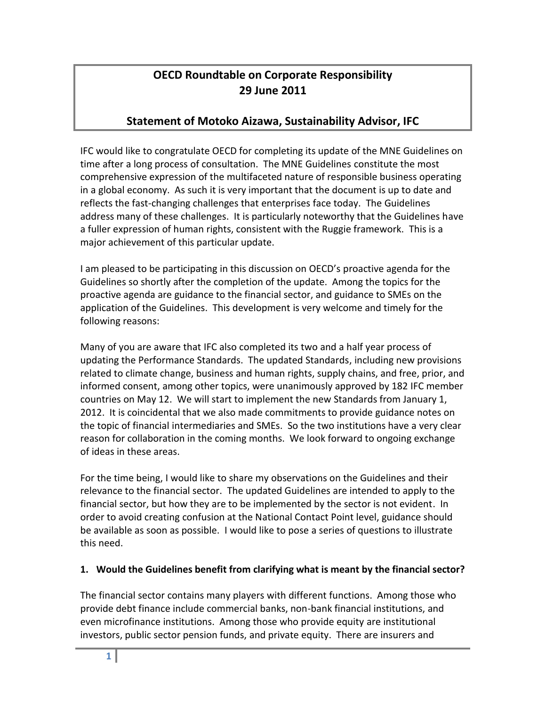# **OECD Roundtable on Corporate Responsibility 29 June 2011**

## **Statement of Motoko Aizawa, Sustainability Advisor, IFC**

IFC would like to congratulate OECD for completing its update of the MNE Guidelines on time after a long process of consultation. The MNE Guidelines constitute the most comprehensive expression of the multifaceted nature of responsible business operating in a global economy. As such it is very important that the document is up to date and reflects the fast-changing challenges that enterprises face today. The Guidelines address many of these challenges. It is particularly noteworthy that the Guidelines have a fuller expression of human rights, consistent with the Ruggie framework. This is a major achievement of this particular update.

I am pleased to be participating in this discussion on OECD's proactive agenda for the Guidelines so shortly after the completion of the update. Among the topics for the proactive agenda are guidance to the financial sector, and guidance to SMEs on the application of the Guidelines. This development is very welcome and timely for the following reasons:

Many of you are aware that IFC also completed its two and a half year process of updating the Performance Standards. The updated Standards, including new provisions related to climate change, business and human rights, supply chains, and free, prior, and informed consent, among other topics, were unanimously approved by 182 IFC member countries on May 12. We will start to implement the new Standards from January 1, 2012. It is coincidental that we also made commitments to provide guidance notes on the topic of financial intermediaries and SMEs. So the two institutions have a very clear reason for collaboration in the coming months. We look forward to ongoing exchange of ideas in these areas.

For the time being, I would like to share my observations on the Guidelines and their relevance to the financial sector. The updated Guidelines are intended to apply to the financial sector, but how they are to be implemented by the sector is not evident. In order to avoid creating confusion at the National Contact Point level, guidance should be available as soon as possible. I would like to pose a series of questions to illustrate this need.

#### **1. Would the Guidelines benefit from clarifying what is meant by the financial sector?**

The financial sector contains many players with different functions. Among those who provide debt finance include commercial banks, non-bank financial institutions, and even microfinance institutions. Among those who provide equity are institutional investors, public sector pension funds, and private equity. There are insurers and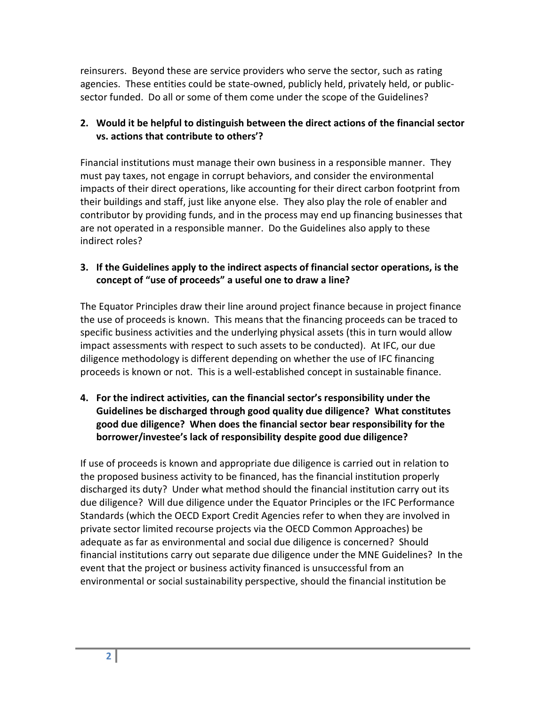reinsurers. Beyond these are service providers who serve the sector, such as rating agencies. These entities could be state-owned, publicly held, privately held, or publicsector funded. Do all or some of them come under the scope of the Guidelines?

#### **2. Would it be helpful to distinguish between the direct actions of the financial sector vs. actions that contribute to others'?**

Financial institutions must manage their own business in a responsible manner. They must pay taxes, not engage in corrupt behaviors, and consider the environmental impacts of their direct operations, like accounting for their direct carbon footprint from their buildings and staff, just like anyone else. They also play the role of enabler and contributor by providing funds, and in the process may end up financing businesses that are not operated in a responsible manner. Do the Guidelines also apply to these indirect roles?

#### **3. If the Guidelines apply to the indirect aspects of financial sector operations, is the concept of "use of proceeds" a useful one to draw a line?**

The Equator Principles draw their line around project finance because in project finance the use of proceeds is known. This means that the financing proceeds can be traced to specific business activities and the underlying physical assets (this in turn would allow impact assessments with respect to such assets to be conducted). At IFC, our due diligence methodology is different depending on whether the use of IFC financing proceeds is known or not. This is a well-established concept in sustainable finance.

**4. For the indirect activities, can the financial sector's responsibility under the Guidelines be discharged through good quality due diligence? What constitutes good due diligence? When does the financial sector bear responsibility for the borrower/investee's lack of responsibility despite good due diligence?**

If use of proceeds is known and appropriate due diligence is carried out in relation to the proposed business activity to be financed, has the financial institution properly discharged its duty? Under what method should the financial institution carry out its due diligence? Will due diligence under the Equator Principles or the IFC Performance Standards (which the OECD Export Credit Agencies refer to when they are involved in private sector limited recourse projects via the OECD Common Approaches) be adequate as far as environmental and social due diligence is concerned? Should financial institutions carry out separate due diligence under the MNE Guidelines? In the event that the project or business activity financed is unsuccessful from an environmental or social sustainability perspective, should the financial institution be